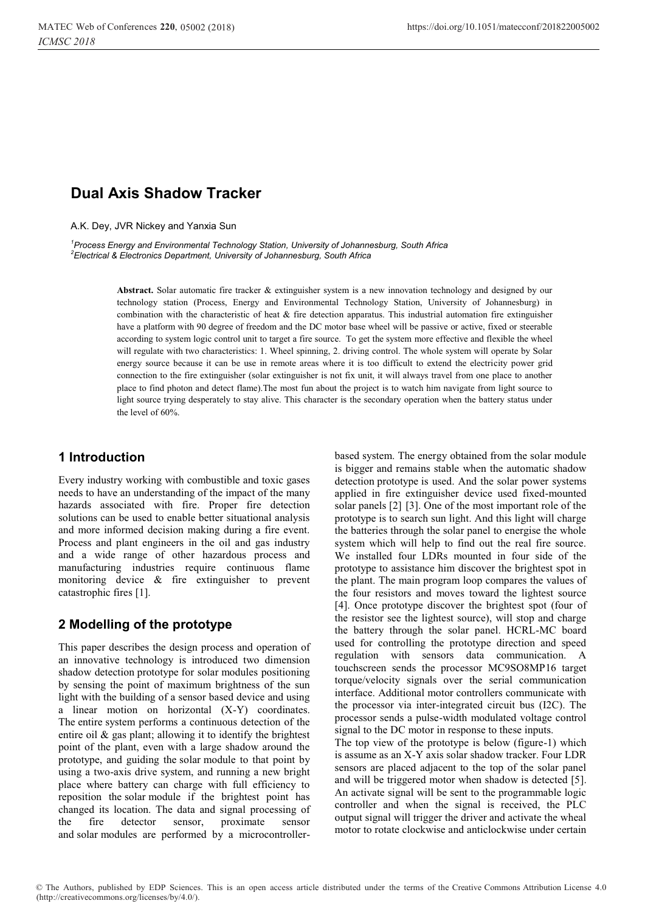# **Dual Axis Shadow Tracker**

A.K. Dey, JVR Nickey and Yanxia Sun

*1 Process Energy and Environmental Technology Station, University of Johannesburg, South Africa 2 Electrical & Electronics Department, University of Johannesburg, South Africa* 

> **Abstract.** Solar automatic fire tracker & extinguisher system is a new innovation technology and designed by our technology station (Process, Energy and Environmental Technology Station, University of Johannesburg) in combination with the characteristic of heat & fire detection apparatus. This industrial automation fire extinguisher have a platform with 90 degree of freedom and the DC motor base wheel will be passive or active, fixed or steerable according to system logic control unit to target a fire source. To get the system more effective and flexible the wheel will regulate with two characteristics: 1. Wheel spinning, 2. driving control. The whole system will operate by Solar energy source because it can be use in remote areas where it is too difficult to extend the electricity power grid connection to the fire extinguisher (solar extinguisher is not fix unit, it will always travel from one place to another place to find photon and detect flame).The most fun about the project is to watch him navigate from light source to light source trying desperately to stay alive. This character is the secondary operation when the battery status under the level of 60%.

#### **1 Introduction**

Every industry working with combustible and toxic gases needs to have an understanding of the impact of the many hazards associated with fire. Proper fire detection solutions can be used to enable better situational analysis and more informed decision making during a fire event. Process and plant engineers in the oil and gas industry and a wide range of other hazardous process and manufacturing industries require continuous flame monitoring device & fire extinguisher to prevent catastrophic fires [1].

## **2 Modelling of the prototype**

This paper describes the design process and operation of an innovative technology is introduced two dimension shadow detection prototype for solar modules positioning by sensing the point of maximum brightness of the sun light with the building of a sensor based device and using a linear motion on horizontal (X-Y) coordinates. The entire system performs a continuous detection of the entire oil & gas plant; allowing it to identify the brightest point of the plant, even with a large shadow around the prototype, and guiding the solar module to that point by using a two-axis drive system, and running a new bright place where battery can charge with full efficiency to reposition the solar module if the brightest point has changed its location. The data and signal processing of the fire detector sensor, proximate sensor and solar modules are performed by a microcontroller-

based system. The energy obtained from the solar module is bigger and remains stable when the automatic shadow detection prototype is used. And the solar power systems applied in fire extinguisher device used fixed-mounted solar panels [2] [3]. One of the most important role of the prototype is to search sun light. And this light will charge the batteries through the solar panel to energise the whole system which will help to find out the real fire source. We installed four LDRs mounted in four side of the prototype to assistance him discover the brightest spot in the plant. The main program loop compares the values of the four resistors and moves toward the lightest source [4]. Once prototype discover the brightest spot (four of the resistor see the lightest source), will stop and charge the battery through the solar panel. HCRL-MC board used for controlling the prototype direction and speed regulation with sensors data communication. A touchscreen sends the processor MC9SO8MP16 target torque/velocity signals over the serial communication interface. Additional motor controllers communicate with the processor via inter-integrated circuit bus (I2C). The processor sends a pulse-width modulated voltage control signal to the DC motor in response to these inputs.

The top view of the prototype is below (figure-1) which is assume as an X-Y axis solar shadow tracker. Four LDR sensors are placed adjacent to the top of the solar panel and will be triggered motor when shadow is detected [5]. An activate signal will be sent to the programmable logic controller and when the signal is received, the PLC output signal will trigger the driver and activate the wheal motor to rotate clockwise and anticlockwise under certain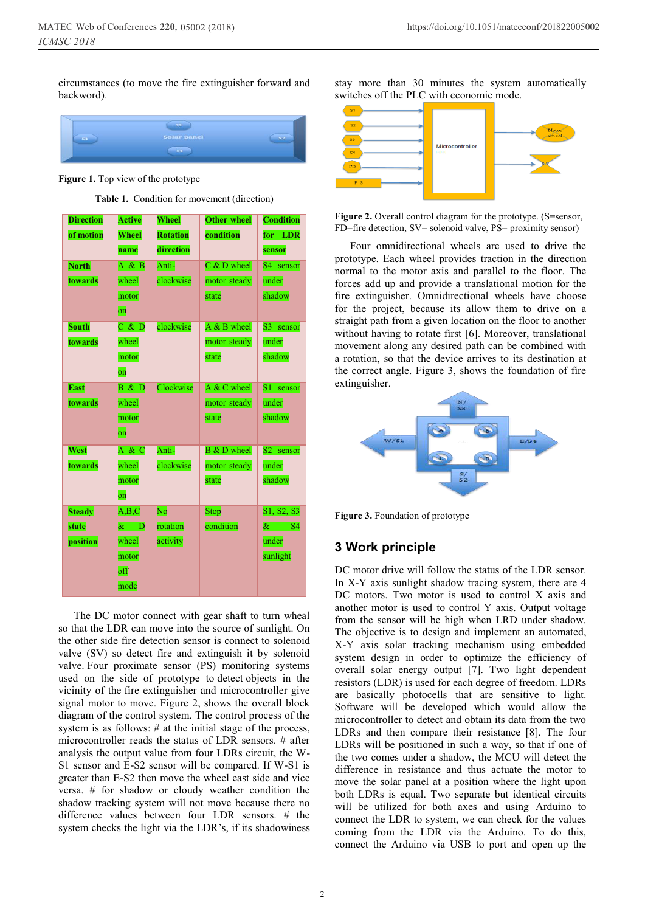circumstances (to move the fire extinguisher forward and backword).



**Figure 1.** Top view of the prototype

**Table 1.** Condition for movement (direction)

| <b>Direction</b><br>of motion      | <b>Active</b><br><b>Wheel</b><br>name               | Wheel<br><b>Rotation</b><br>direction | <b>Other wheel</b><br>condition        | <b>Condition</b><br>for LDR<br>sensor                       |
|------------------------------------|-----------------------------------------------------|---------------------------------------|----------------------------------------|-------------------------------------------------------------|
| <b>North</b><br>towards            | A & B<br>wheel<br>motor<br>on                       | Anti-<br>clockwise                    | $C$ & D wheel<br>motor steady<br>state | S4 sensor<br>under<br>shadow                                |
| <b>South</b><br>towards            | C & D<br>wheel<br>motor<br>on                       | clockwise                             | A & B wheel<br>motor steady<br>state   | S3 sensor<br>under<br>shadow                                |
| East<br>towards                    | B & D<br>wheel<br>motor<br>on                       | Clockwise                             | A & C wheel<br>motor steady<br>state   | $\overline{S1}$<br>sensor<br>under<br>shadow                |
| West<br>towards                    | A & C<br>wheel<br>motor<br>on                       | Anti-<br>clockwise                    | B & D wheel<br>motor steady<br>state   | S <sub>2</sub> sensor<br>under<br>shadow                    |
| <b>Steady</b><br>state<br>position | A,B,C<br>$\&$<br>D<br>wheel<br>motor<br>off<br>mode | No.<br>rotation<br>activity           | <b>Stop</b><br>condition               | S1, S2, S3<br>S <sub>4</sub><br>$\&$ .<br>under<br>sunlight |

The DC motor connect with gear shaft to turn wheal so that the LDR can move into the source of sunlight. On the other side fire detection sensor is connect to solenoid valve (SV) so detect fire and extinguish it by solenoid valve. Four proximate sensor (PS) monitoring systems used on the side of prototype to detect objects in the vicinity of the fire extinguisher and microcontroller give signal motor to move. Figure 2, shows the overall block diagram of the control system. The control process of the system is as follows: # at the initial stage of the process, microcontroller reads the status of LDR sensors. # after analysis the output value from four LDRs circuit, the W-S1 sensor and E-S2 sensor will be compared. If W-S1 is greater than E-S2 then move the wheel east side and vice versa. # for shadow or cloudy weather condition the shadow tracking system will not move because there no difference values between four LDR sensors. # the system checks the light via the LDR's, if its shadowiness

stay more than 30 minutes the system automatically switches off the PLC with economic mode.





Four omnidirectional wheels are used to drive the prototype. Each wheel provides traction in the direction normal to the motor axis and parallel to the floor. The forces add up and provide a translational motion for the fire extinguisher. Omnidirectional wheels have choose for the project, because its allow them to drive on a straight path from a given location on the floor to another without having to rotate first [6]. Moreover, translational movement along any desired path can be combined with a rotation, so that the device arrives to its destination at the correct angle. Figure 3, shows the foundation of fire extinguisher.



Figure 3. Foundation of prototype

#### **3 Work principle**

DC motor drive will follow the status of the LDR sensor. In X-Y axis sunlight shadow tracing system, there are 4 DC motors. Two motor is used to control X axis and another motor is used to control Y axis. Output voltage from the sensor will be high when LRD under shadow. The objective is to design and implement an automated, X-Y axis solar tracking mechanism using embedded system design in order to optimize the efficiency of overall solar energy output [7]. Two light dependent resistors (LDR) is used for each degree of freedom. LDRs are basically photocells that are sensitive to light. Software will be developed which would allow the microcontroller to detect and obtain its data from the two LDRs and then compare their resistance [8]. The four LDRs will be positioned in such a way, so that if one of the two comes under a shadow, the MCU will detect the difference in resistance and thus actuate the motor to move the solar panel at a position where the light upon both LDRs is equal. Two separate but identical circuits will be utilized for both axes and using Arduino to connect the LDR to system, we can check for the values coming from the LDR via the Arduino. To do this, connect the Arduino via USB to port and open up the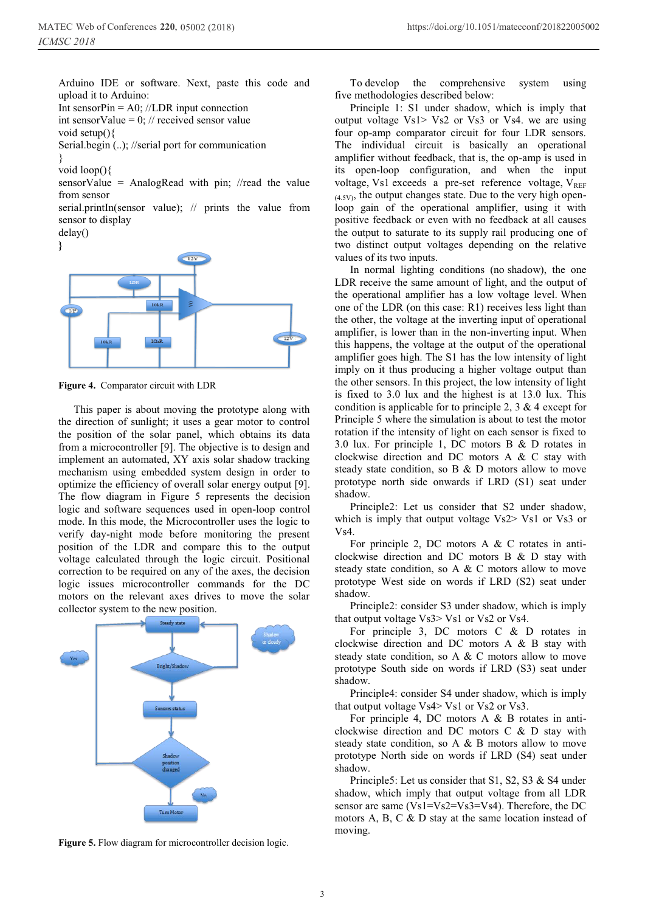Arduino IDE or software. Next, paste this code and upload it to Arduino: Int sensorPin =  $A0$ ; //LDR input connection

int sensorValue =  $0$ ; // received sensor value void setup(){

Serial.begin (..); //serial port for communication

}

void loop(){

sensorValue = AnalogRead with pin; //read the value from sensor

serial.printIn(sensor value); // prints the value from sensor to display

delay()

**}**



**Figure 4.** Comparator circuit with LDR

This paper is about moving the prototype along with the direction of sunlight; it uses a gear motor to control the position of the solar panel, which obtains its data from a microcontroller [9]. The objective is to design and implement an automated, XY axis solar shadow tracking mechanism using embedded system design in order to optimize the efficiency of overall solar energy output [9]. The flow diagram in Figure 5 represents the decision logic and software sequences used in open-loop control mode. In this mode, the Microcontroller uses the logic to verify day-night mode before monitoring the present position of the LDR and compare this to the output voltage calculated through the logic circuit. Positional correction to be required on any of the axes, the decision logic issues microcontroller commands for the DC motors on the relevant axes drives to move the solar collector system to the new position.



**Figure 5.** Flow diagram for microcontroller decision logic.

To develop the comprehensive system using five methodologies described below:

Principle 1: S1 under shadow, which is imply that output voltage Vs1> Vs2 or Vs3 or Vs4. we are using four op-amp comparator circuit for four LDR sensors. The individual circuit is basically an operational amplifier without feedback, that is, the op-amp is used in its open-loop configuration, and when the input voltage, Vs1 exceeds a pre-set reference voltage,  $V_{REF}$ (4.5V), the output changes state. Due to the very high openloop gain of the operational amplifier, using it with positive feedback or even with no feedback at all causes the output to saturate to its supply rail producing one of two distinct output voltages depending on the relative values of its two inputs.

In normal lighting conditions (no shadow), the one LDR receive the same amount of light, and the output of the operational amplifier has a low voltage level. When one of the LDR (on this case: R1) receives less light than the other, the voltage at the inverting input of operational amplifier, is lower than in the non-inverting input. When this happens, the voltage at the output of the operational amplifier goes high. The S1 has the low intensity of light imply on it thus producing a higher voltage output than the other sensors. In this project, the low intensity of light is fixed to 3.0 lux and the highest is at 13.0 lux. This condition is applicable for to principle 2, 3  $\&$  4 except for Principle 5 where the simulation is about to test the motor rotation if the intensity of light on each sensor is fixed to 3.0 lux. For principle 1, DC motors B & D rotates in clockwise direction and DC motors A & C stay with steady state condition, so B & D motors allow to move prototype north side onwards if LRD (S1) seat under shadow.

Principle2: Let us consider that S2 under shadow, which is imply that output voltage Vs2> Vs1 or Vs3 or Vs4.

For principle 2, DC motors A & C rotates in anticlockwise direction and DC motors B & D stay with steady state condition, so A  $&$  C motors allow to move prototype West side on words if LRD (S2) seat under shadow.

Principle2: consider S3 under shadow, which is imply that output voltage Vs3> Vs1 or Vs2 or Vs4.

For principle 3, DC motors C & D rotates in clockwise direction and DC motors A & B stay with steady state condition, so A & C motors allow to move prototype South side on words if LRD (S3) seat under shadow.

Principle4: consider S4 under shadow, which is imply that output voltage Vs4> Vs1 or Vs2 or Vs3.

For principle 4, DC motors A & B rotates in anticlockwise direction and DC motors C & D stay with steady state condition, so A & B motors allow to move prototype North side on words if LRD (S4) seat under shadow.

Principle5: Let us consider that S1, S2, S3 & S4 under shadow, which imply that output voltage from all LDR sensor are same (Vs1=Vs2=Vs3=Vs4). Therefore, the DC motors A, B, C & D stay at the same location instead of moving.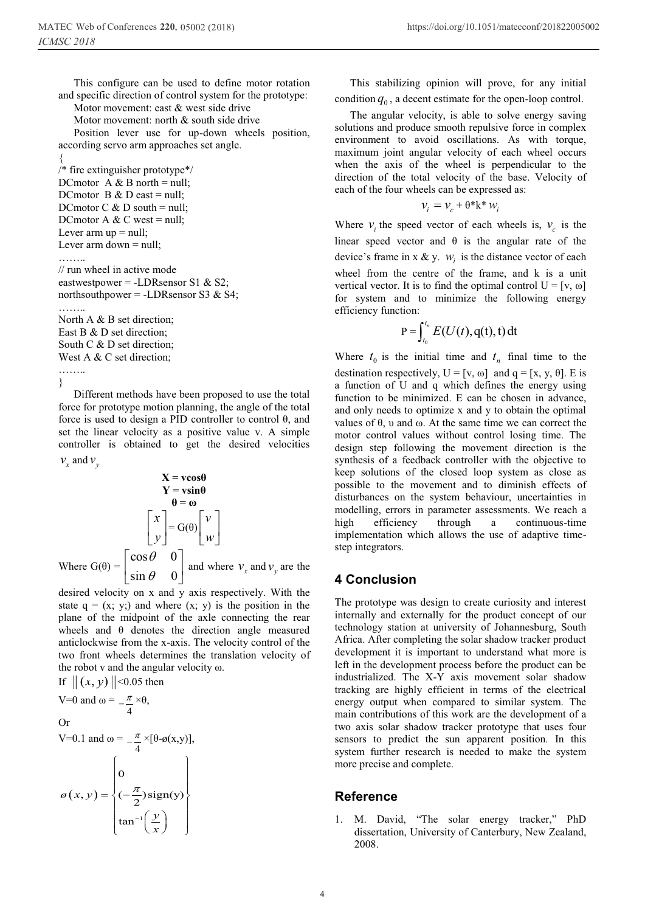This configure can be used to define motor rotation and specific direction of control system for the prototype:

Motor movement: east & west side drive

Motor movement: north & south side drive

Position lever use for up-down wheels position, according servo arm approaches set angle.

{ /\* fire extinguisher prototype\*/ DCmotor  $\overrightarrow{A}$  & B north = null; DCmotor B & D east = null: DCmotor C  $&$  D south = null; DCmotor A  $&$  C west = null; Lever arm  $up = null$ ; Lever arm down  $=$  null;

// run wheel in active mode eastwestpower = -LDRsensor S1 & S2; northsouthpower = -LDRsensor S3 & S4; ………

North A & B set direction; East B & D set direction:

South C & D set direction; West A & C set direction;

…… }

Different methods have been proposed to use the total force for prototype motion planning, the angle of the total force is used to design a PID controller to control θ, and set the linear velocity as a positive value v. A simple controller is obtained to get the desired velocities  $v_x$  and  $v_y$ 

$$
\mathbf{X} = \mathbf{v}\cos\theta
$$
  
\n
$$
\mathbf{Y} = \mathbf{v}\sin\theta
$$
  
\n
$$
\theta = \omega
$$
  
\n
$$
\begin{bmatrix} x \\ y \end{bmatrix} = G(\theta) \begin{bmatrix} v \\ w \end{bmatrix}
$$
  
\nWhere  $G(\theta) = \begin{bmatrix} \cos\theta & 0 \\ \sin\theta & 0 \end{bmatrix}$  and where  $v_x$  and  $v_y$  are the

desired velocity on x and y axis respectively. With the state  $q = (x; y; )$  and where  $(x; y)$  is the position in the plane of the midpoint of the axle connecting the rear wheels and θ denotes the direction angle measured anticlockwise from the x-axis. The velocity control of the two front wheels determines the translation velocity of the robot v and the angular velocity ω. If  $\| (x, y) \|$ <0.05 then

V=0 and 
$$
\omega = -\frac{\pi}{4} \times \theta
$$
,  
\nOr  
\nV=0.1 and  $\omega = -\frac{\pi}{4} \times [\theta - \theta(x,y)]$ ,  
\n
$$
\theta(x,y) = \begin{cases}\n0 \\
(-\frac{\pi}{2})\operatorname{sign}(y) \\
\tan^{-1}(\frac{y}{x})\n\end{cases}
$$

This stabilizing opinion will prove, for any initial condition  $q_0$ , a decent estimate for the open-loop control.

The angular velocity, is able to solve energy saving solutions and produce smooth repulsive force in complex environment to avoid oscillations. As with torque, maximum joint angular velocity of each wheel occurs when the axis of the wheel is perpendicular to the direction of the total velocity of the base. Velocity of each of the four wheels can be expressed as:

$$
v_i = v_c + \theta^* \mathbf{k}^* w_i
$$

Where  $v_i$  the speed vector of each wheels is,  $v_c$  is the linear speed vector and  $\theta$  is the angular rate of the device's frame in  $x \& y$ .  $w_i$  is the distance vector of each wheel from the centre of the frame, and k is a unit vertical vector. It is to find the optimal control  $U = [v, \omega]$ for system and to minimize the following energy efficiency function:

$$
P = \int_{t_0}^{t_n} E(U(t), q(t), t) dt
$$

Where  $t_0$  is the initial time and  $t_n$  final time to the destination respectively,  $U = [v, \omega]$  and  $q = [x, y, \theta]$ . E is a function of U and q which defines the energy using function to be minimized. E can be chosen in advance, and only needs to optimize x and y to obtain the optimal values of θ, υ and ω. At the same time we can correct the motor control values without control losing time. The design step following the movement direction is the synthesis of a feedback controller with the objective to keep solutions of the closed loop system as close as possible to the movement and to diminish effects of disturbances on the system behaviour, uncertainties in modelling, errors in parameter assessments. We reach a high efficiency through a continuous-time implementation which allows the use of adaptive timestep integrators.

# **4 Conclusion**

The prototype was design to create curiosity and interest internally and externally for the product concept of our technology station at university of Johannesburg, South Africa. After completing the solar shadow tracker product development it is important to understand what more is left in the development process before the product can be industrialized. The X-Y axis movement solar shadow tracking are highly efficient in terms of the electrical energy output when compared to similar system. The main contributions of this work are the development of a two axis solar shadow tracker prototype that uses four sensors to predict the sun apparent position. In this system further research is needed to make the system more precise and complete.

## **Reference**

1. M. David, "The solar energy tracker," PhD dissertation, University of Canterbury, New Zealand, 2008.